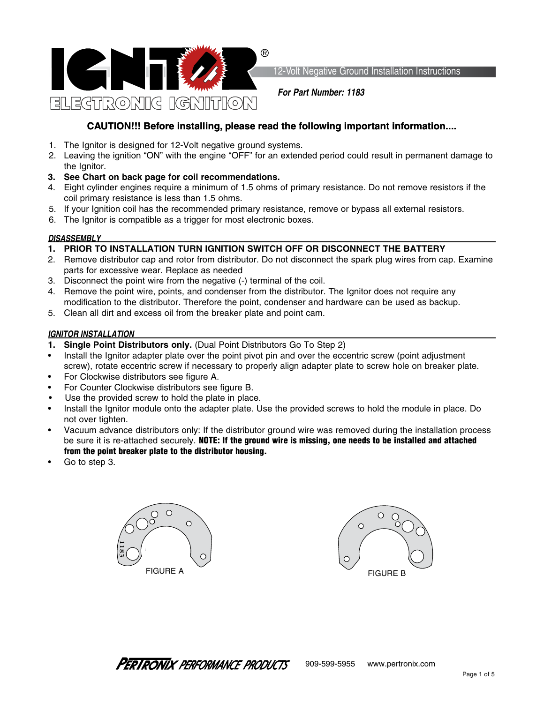

12-Volt Negative Ground Installation Instructions

*For Part Number: 1183*

# **CAUTION!!! Before installing, please read the following important information....**

- 1. The Ignitor is designed for 12-Volt negative ground systems.
- 2. Leaving the ignition "ON" with the engine "OFF" for an extended period could result in permanent damage to the Ignitor.
- **3. See Chart on back page for coil recommendations.**
- 4. Eight cylinder engines require a minimum of 1.5 ohms of primary resistance. Do not remove resistors if the coil primary resistance is less than 1.5 ohms.
- 5. If your Ignition coil has the recommended primary resistance, remove or bypass all external resistors.
- 6. The Ignitor is compatible as a trigger for most electronic boxes.

## *DISASSEMBLY*

- **1. PRIOR TO INSTALLATION TURN IGNITION SWITCH OFF OR DISCONNECT THE BATTERY**
- 2. Remove distributor cap and rotor from distributor. Do not disconnect the spark plug wires from cap. Examine parts for excessive wear. Replace as needed
- 3. Disconnect the point wire from the negative (-) terminal of the coil.
- 4. Remove the point wire, points, and condenser from the distributor. The Ignitor does not require any modification to the distributor. Therefore the point, condenser and hardware can be used as backup.
- 5. Clean all dirt and excess oil from the breaker plate and point cam.

## *IGNITOR INSTALLATION*

- **1. Single Point Distributors only.** (Dual Point Distributors Go To Step 2)
- Install the Ignitor adapter plate over the point pivot pin and over the eccentric screw (point adjustment screw), rotate eccentric screw if necessary to properly align adapter plate to screw hole on breaker plate.
- For Clockwise distributors see figure A.
- For Counter Clockwise distributors see figure B.
- Use the provided screw to hold the plate in place.
- Install the Ignitor module onto the adapter plate. Use the provided screws to hold the module in place. Do not over tighten.
- Vacuum advance distributors only: If the distributor ground wire was removed during the installation process be sure it is re-attached securely. NOTE: If the ground wire is missing, one needs to be installed and attached from the point breaker plate to the distributor housing.
- Go to step 3.



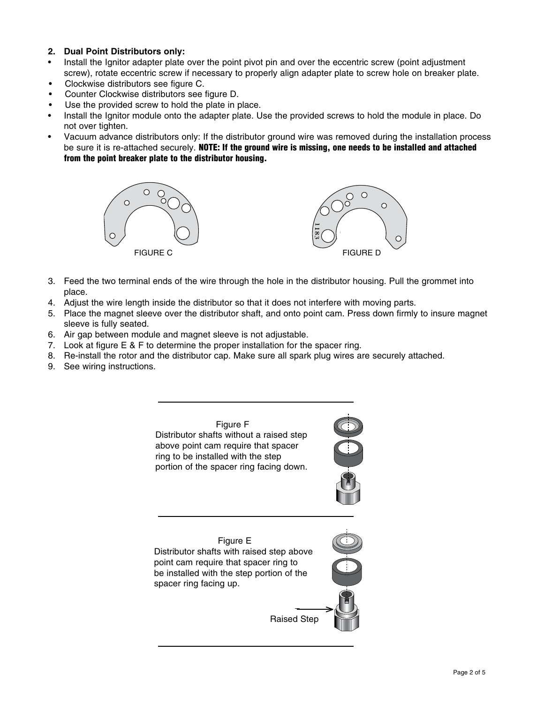## **2. Dual Point Distributors only:**

- Install the Ignitor adapter plate over the point pivot pin and over the eccentric screw (point adjustment screw), rotate eccentric screw if necessary to properly align adapter plate to screw hole on breaker plate.
- Clockwise distributors see figure C.
- Counter Clockwise distributors see figure D.
- Use the provided screw to hold the plate in place.
- Install the Ignitor module onto the adapter plate. Use the provided screws to hold the module in place. Do not over tighten.
- Vacuum advance distributors only: If the distributor ground wire was removed during the installation process be sure it is re-attached securely. NOTE: If the ground wire is missing, one needs to be installed and attached from the point breaker plate to the distributor housing.



- 3. Feed the two terminal ends of the wire through the hole in the distributor housing. Pull the grommet into place.
- 4. Adjust the wire length inside the distributor so that it does not interfere with moving parts.
- 5. Place the magnet sleeve over the distributor shaft, and onto point cam. Press down firmly to insure magnet sleeve is fully seated.
- 6. Air gap between module and magnet sleeve is not adjustable.
- 7. Look at figure E & F to determine the proper installation for the spacer ring.
- 8. Re-install the rotor and the distributor cap. Make sure all spark plug wires are securely attached.
- 9. See wiring instructions.





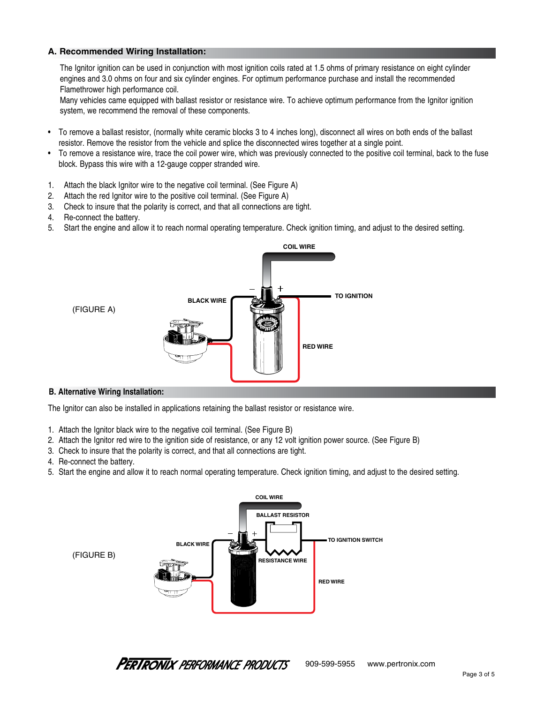## **A. Recommended Wiring Installation:**

The Ignitor ignition can be used in conjunction with most ignition coils rated at 1.5 ohms of primary resistance on eight cylinder engines and 3.0 ohms on four and six cylinder engines. For optimum performance purchase and install the recommended Flamethrower high performance coil.

Many vehicles came equipped with ballast resistor or resistance wire. To achieve optimum performance from the Ignitor ignition system, we recommend the removal of these components.

- To remove a ballast resistor, (normally white ceramic blocks 3 to 4 inches long), disconnect all wires on both ends of the ballast resistor. Remove the resistor from the vehicle and splice the disconnected wires together at a single point.
- To remove a resistance wire, trace the coil power wire, which was previously connected to the positive coil terminal, back to the fuse block. Bypass this wire with a 12-gauge copper stranded wire.
- 1. Attach the black Ignitor wire to the negative coil terminal. (See Figure A)
- 2. Attach the red Ignitor wire to the positive coil terminal. (See Figure A)
- 3. Check to insure that the polarity is correct, and that all connections are tight.
- 4. Re-connect the battery.
- 5. Start the engine and allow it to reach normal operating temperature. Check ignition timing, and adjust to the desired setting.



### **B. Alternative Wiring Installation:**

The Ignitor can also be installed in applications retaining the ballast resistor or resistance wire.

- 1. Attach the Ignitor black wire to the negative coil terminal. (See Figure B)
- 2. Attach the Ignitor red wire to the ignition side of resistance, or any 12 volt ignition power source. (See Figure B)
- 3. Check to insure that the polarity is correct, and that all connections are tight.
- 4. Re-connect the battery.
- 5. Start the engine and allow it to reach normal operating temperature. Check ignition timing, and adjust to the desired setting.



**PERTRONIX** PERFORMANCE PRODUCTS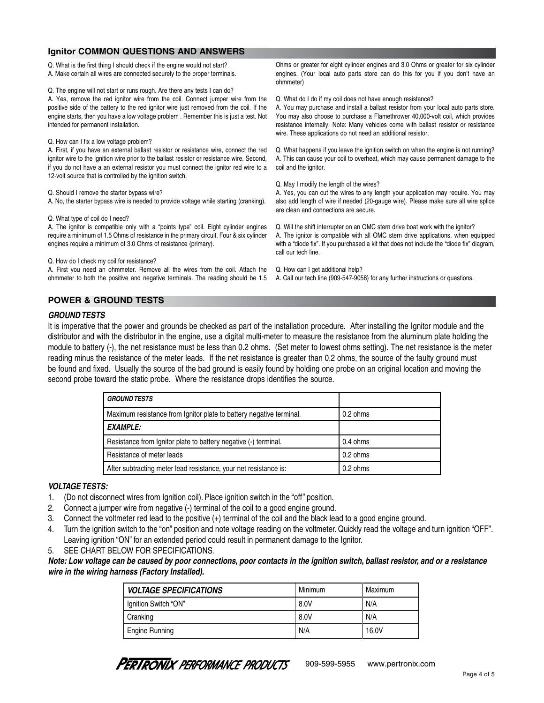#### Q. What is the first thing I should check if the engine would not start? A. Make certain all wires are connected securely to the proper terminals. Q. The engine will not start or runs rough. Are there any tests I can do? A. Yes, remove the red ignitor wire from the coil. Connect jumper wire from the positive side of the battery to the red ignitor wire just removed from the coil. If the engine starts, then you have a low voltage problem . Remember this is just a test. Not intended for permanent installation. Q. How can I fix a low voltage problem? A. First, if you have an external ballast resistor or resistance wire, connect the red ignitor wire to the ignition wire prior to the ballast resistor or resistance wire. Second, if you do not have a an external resistor you must connect the ignitor red wire to a 12-volt source that is controlled by the ignition switch. Q. Should I remove the starter bypass wire? A. No, the starter bypass wire is needed to provide voltage while starting (cranking). Q. What type of coil do I need? A. The ignitor is compatible only with a "points type" coil. Eight cylinder engines require a minimum of 1.5 Ohms of resistance in the primary circuit. Four & six cylinder engines require a minimum of 3.0 Ohms of resistance (primary). Q. How do I check my coil for resistance? Ohms or greater for eight cylinder engines and 3.0 Ohms or greater for six cylinder engines. (Your local auto parts store can do this for you if you don't have an ohmmeter) Q. What do I do if my coil does not have enough resistance? A. You may purchase and install a ballast resistor from your local auto parts store. You may also choose to purchase a Flamethrower 40,000-volt coil, which provides resistance internally. Note: Many vehicles come with ballast resistor or resistance wire. These applications do not need an additional resistor. Q. What happens if you leave the ignition switch on when the engine is not running? A. This can cause your coil to overheat, which may cause permanent damage to the coil and the ignitor. Q. May I modify the length of the wires? A. Yes, you can cut the wires to any length your application may require. You may also add length of wire if needed (20-gauge wire). Please make sure all wire splice are clean and connections are secure. Q. Will the shift interrupter on an OMC stern drive boat work with the ignitor? A. The ignitor is compatible with all OMC stern drive applications, when equipped with a "diode fix". If you purchased a kit that does not include the "diode fix" diagram, call our tech line. **Ignitor COMMON QUESTIONS AND ANSWERS**

A. First you need an ohmmeter. Remove all the wires from the coil. Attach the ohmmeter to both the positive and negative terminals. The reading should be 1.5 Q. How can I get additional help?

A. Call our tech line (909-547-9058) for any further instructions or questions.

## **POWER & GROUND TESTS**

## *GROUND TESTS*

It is imperative that the power and grounds be checked as part of the installation procedure. After installing the Ignitor module and the distributor and with the distributor in the engine, use a digital multi-meter to measure the resistance from the aluminum plate holding the module to battery (-), the net resistance must be less than 0.2 ohms. (Set meter to lowest ohms setting). The net resistance is the meter reading minus the resistance of the meter leads. If the net resistance is greater than 0.2 ohms, the source of the faulty ground must be found and fixed. Usually the source of the bad ground is easily found by holding one probe on an original location and moving the second probe toward the static probe. Where the resistance drops identifies the source.

| <b>GROUND TESTS</b>                                                 |                    |
|---------------------------------------------------------------------|--------------------|
| Maximum resistance from Ignitor plate to battery negative terminal. | $0.2 \text{ ohms}$ |
| <b>EXAMPLE:</b>                                                     |                    |
| Resistance from Ignitor plate to battery negative (-) terminal.     | $0.4 \text{ ohms}$ |
| Resistance of meter leads                                           | $0.2 \text{ ohms}$ |
| After subtracting meter lead resistance, your net resistance is:    | 0.2 ohms           |

## *VOLTAGE TESTS:*

- 1. (Do not disconnect wires from Ignition coil). Place ignition switch in the "off" position.
- 2. Connect a jumper wire from negative (-) terminal of the coil to a good engine ground.
- 3. Connect the voltmeter red lead to the positive (+) terminal of the coil and the black lead to a good engine ground.
- 4. Turn the ignition switch to the "on" position and note voltage reading on the voltmeter. Quickly read the voltage and turn ignition "OFF". Leaving ignition "ON" for an extended period could result in permanent damage to the Ignitor.
- 5. SEE CHART BELOW FOR SPECIFICATIONS.

*Note: Low voltage can be caused by poor connections, poor contacts in the ignition switch, ballast resistor, and or a resistance wire in the wiring harness (Factory Installed).*

| <b>VOLTAGE SPECIFICATIONS</b> | Minimum | Maximum |
|-------------------------------|---------|---------|
| Ignition Switch "ON"          | 8.0V    | N/A     |
| Cranking                      | 8.0V    | N/A     |
| <b>Engine Running</b>         | N/A     | 16.0V   |

**PERTRONIX** PERFORMANCE PRODUCTS